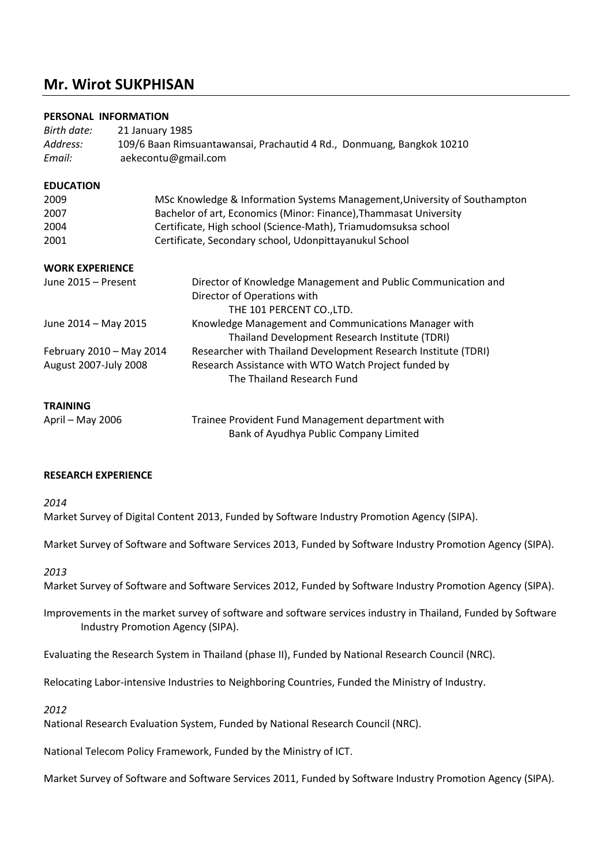# **Mr. Wirot SUKPHISAN**

# **PERSONAL INFORMATION**

| Birth date:<br>Address:<br>Email: | 21 January 1985<br>109/6 Baan Rimsuantawansai, Prachautid 4 Rd., Donmuang, Bangkok 10210<br>aekecontu@gmail.com |                                                                                             |  |
|-----------------------------------|-----------------------------------------------------------------------------------------------------------------|---------------------------------------------------------------------------------------------|--|
|                                   |                                                                                                                 |                                                                                             |  |
| <b>EDUCATION</b>                  |                                                                                                                 |                                                                                             |  |
| 2009                              |                                                                                                                 | MSc Knowledge & Information Systems Management, University of Southampton                   |  |
| 2007                              |                                                                                                                 | Bachelor of art, Economics (Minor: Finance), Thammasat University                           |  |
| 2004                              |                                                                                                                 | Certificate, High school (Science-Math), Triamudomsuksa school                              |  |
| 2001                              |                                                                                                                 | Certificate, Secondary school, Udonpittayanukul School                                      |  |
| <b>WORK EXPERIENCE</b>            |                                                                                                                 |                                                                                             |  |
| June 2015 - Present               |                                                                                                                 | Director of Knowledge Management and Public Communication and                               |  |
|                                   |                                                                                                                 | Director of Operations with                                                                 |  |
|                                   |                                                                                                                 | THE 101 PERCENT CO., LTD.                                                                   |  |
| June 2014 - May 2015              |                                                                                                                 | Knowledge Management and Communications Manager with                                        |  |
|                                   |                                                                                                                 | Thailand Development Research Institute (TDRI)                                              |  |
| February 2010 - May 2014          |                                                                                                                 | Researcher with Thailand Development Research Institute (TDRI)                              |  |
| August 2007-July 2008             |                                                                                                                 | Research Assistance with WTO Watch Project funded by                                        |  |
|                                   |                                                                                                                 | The Thailand Research Fund                                                                  |  |
| <b>TRAINING</b>                   |                                                                                                                 |                                                                                             |  |
| April - May 2006                  |                                                                                                                 | Trainee Provident Fund Management department with<br>Bank of Ayudhya Public Company Limited |  |

## **RESEARCH EXPERIENCE**

#### *2014*

Market Survey of Digital Content 2013, Funded by Software Industry Promotion Agency (SIPA).

Market Survey of Software and Software Services 2013, Funded by Software Industry Promotion Agency (SIPA).

*2013*

Market Survey of Software and Software Services 2012, Funded by Software Industry Promotion Agency (SIPA).

Improvements in the market survey of software and software services industry in Thailand, Funded by Software Industry Promotion Agency (SIPA).

Evaluating the Research System in Thailand (phase II), Funded by National Research Council (NRC).

Relocating Labor-intensive Industries to Neighboring Countries, Funded the Ministry of Industry.

*2012*

National Research Evaluation System, Funded by National Research Council (NRC).

National Telecom Policy Framework, Funded by the Ministry of ICT.

Market Survey of Software and Software Services 2011, Funded by Software Industry Promotion Agency (SIPA).